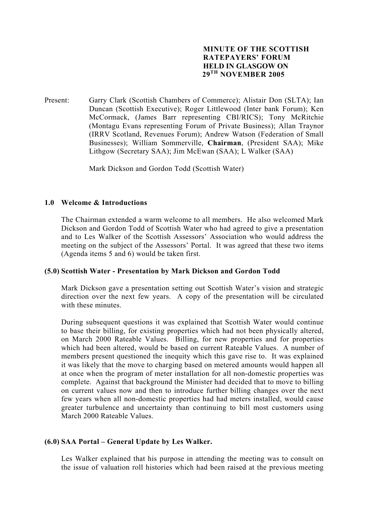## **MINUTE OF THE SCOTTISH RATEPAYERS' FORUM HELD IN GLASGOW ON 29TH NOVEMBER 2005**

Present: Garry Clark (Scottish Chambers of Commerce); Alistair Don (SLTA); Ian Duncan (Scottish Executive); Roger Littlewood (Inter bank Forum); Ken McCormack, (James Barr representing CBI/RICS); Tony McRitchie (Montagu Evans representing Forum of Private Business); Allan Traynor (IRRV Scotland, Revenues Forum); Andrew Watson (Federation of Small Businesses); William Sommerville, **Chairman**, (President SAA); Mike Lithgow (Secretary SAA); Jim McEwan (SAA); L Walker (SAA)

Mark Dickson and Gordon Todd (Scottish Water)

### **1.0 Welcome & Introductions**

The Chairman extended a warm welcome to all members. He also welcomed Mark Dickson and Gordon Todd of Scottish Water who had agreed to give a presentation and to Les Walker of the Scottish Assessors' Association who would address the meeting on the subject of the Assessors' Portal. It was agreed that these two items (Agenda items 5 and 6) would be taken first.

### **(5.0) Scottish Water - Presentation by Mark Dickson and Gordon Todd**

 Mark Dickson gave a presentation setting out Scottish Water's vision and strategic direction over the next few years. A copy of the presentation will be circulated with these minutes.

 During subsequent questions it was explained that Scottish Water would continue to base their billing, for existing properties which had not been physically altered, on March 2000 Rateable Values. Billing, for new properties and for properties which had been altered, would be based on current Rateable Values. A number of members present questioned the inequity which this gave rise to. It was explained it was likely that the move to charging based on metered amounts would happen all at once when the program of meter installation for all non-domestic properties was complete. Against that background the Minister had decided that to move to billing on current values now and then to introduce further billing changes over the next few years when all non-domestic properties had had meters installed, would cause greater turbulence and uncertainty than continuing to bill most customers using March 2000 Rateable Values.

### **(6.0) SAA Portal – General Update by Les Walker.**

Les Walker explained that his purpose in attending the meeting was to consult on the issue of valuation roll histories which had been raised at the previous meeting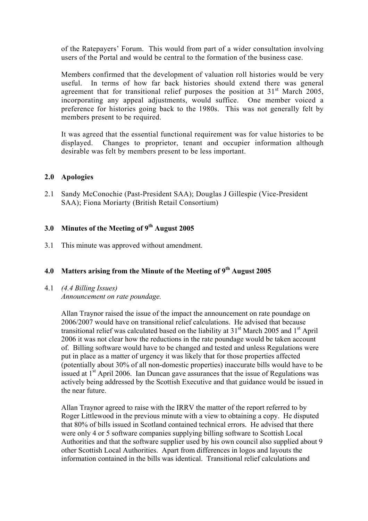of the Ratepayers' Forum. This would from part of a wider consultation involving users of the Portal and would be central to the formation of the business case.

 Members confirmed that the development of valuation roll histories would be very useful. In terms of how far back histories should extend there was general agreement that for transitional relief purposes the position at  $31<sup>st</sup>$  March 2005, incorporating any appeal adjustments, would suffice. One member voiced a preference for histories going back to the 1980s. This was not generally felt by members present to be required.

 It was agreed that the essential functional requirement was for value histories to be displayed. Changes to proprietor, tenant and occupier information although desirable was felt by members present to be less important.

## **2.0 Apologies**

2.1 Sandy McConochie (Past-President SAA); Douglas J Gillespie (Vice-President SAA); Fiona Moriarty (British Retail Consortium)

# **3.0 Minutes of the Meeting of 9th August 2005**

3.1 This minute was approved without amendment.

# **4.0 Matters arising from the Minute of the Meeting of 9th August 2005**

4.1 *(4.4 Billing Issues) Announcement on rate poundage.*

> Allan Traynor raised the issue of the impact the announcement on rate poundage on 2006/2007 would have on transitional relief calculations. He advised that because transitional relief was calculated based on the liability at  $31<sup>st</sup>$  March 2005 and  $1<sup>st</sup>$  April 2006 it was not clear how the reductions in the rate poundage would be taken account of. Billing software would have to be changed and tested and unless Regulations were put in place as a matter of urgency it was likely that for those properties affected (potentially about 30% of all non-domestic properties) inaccurate bills would have to be issued at  $1<sup>st</sup>$  April 2006. Ian Duncan gave assurances that the issue of Regulations was actively being addressed by the Scottish Executive and that guidance would be issued in the near future.

> Allan Traynor agreed to raise with the IRRV the matter of the report referred to by Roger Littlewood in the previous minute with a view to obtaining a copy. He disputed that 80% of bills issued in Scotland contained technical errors. He advised that there were only 4 or 5 software companies supplying billing software to Scottish Local Authorities and that the software supplier used by his own council also supplied about 9 other Scottish Local Authorities. Apart from differences in logos and layouts the information contained in the bills was identical. Transitional relief calculations and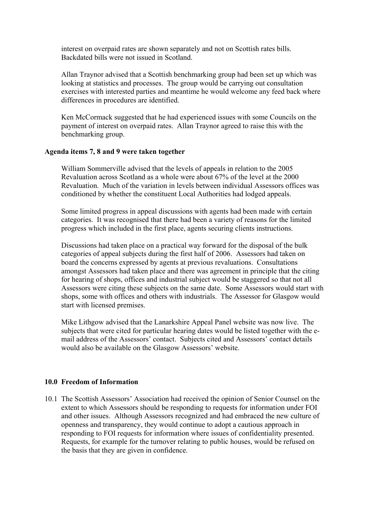interest on overpaid rates are shown separately and not on Scottish rates bills. Backdated bills were not issued in Scotland.

Allan Traynor advised that a Scottish benchmarking group had been set up which was looking at statistics and processes. The group would be carrying out consultation exercises with interested parties and meantime he would welcome any feed back where differences in procedures are identified.

Ken McCormack suggested that he had experienced issues with some Councils on the payment of interest on overpaid rates. Allan Traynor agreed to raise this with the benchmarking group.

### **Agenda items 7, 8 and 9 were taken together**

William Sommerville advised that the levels of appeals in relation to the 2005 Revaluation across Scotland as a whole were about 67% of the level at the 2000 Revaluation. Much of the variation in levels between individual Assessors offices was conditioned by whether the constituent Local Authorities had lodged appeals.

Some limited progress in appeal discussions with agents had been made with certain categories. It was recognised that there had been a variety of reasons for the limited progress which included in the first place, agents securing clients instructions.

Discussions had taken place on a practical way forward for the disposal of the bulk categories of appeal subjects during the first half of 2006. Assessors had taken on board the concerns expressed by agents at previous revaluations. Consultations amongst Assessors had taken place and there was agreement in principle that the citing for hearing of shops, offices and industrial subject would be staggered so that not all Assessors were citing these subjects on the same date. Some Assessors would start with shops, some with offices and others with industrials. The Assessor for Glasgow would start with licensed premises.

Mike Lithgow advised that the Lanarkshire Appeal Panel website was now live. The subjects that were cited for particular hearing dates would be listed together with the email address of the Assessors' contact. Subjects cited and Assessors' contact details would also be available on the Glasgow Assessors' website.

## **10.0 Freedom of Information**

10.1 The Scottish Assessors' Association had received the opinion of Senior Counsel on the extent to which Assessors should be responding to requests for information under FOI and other issues. Although Assessors recognized and had embraced the new culture of openness and transparency, they would continue to adopt a cautious approach in responding to FOI requests for information where issues of confidentiality presented. Requests, for example for the turnover relating to public houses, would be refused on the basis that they are given in confidence.